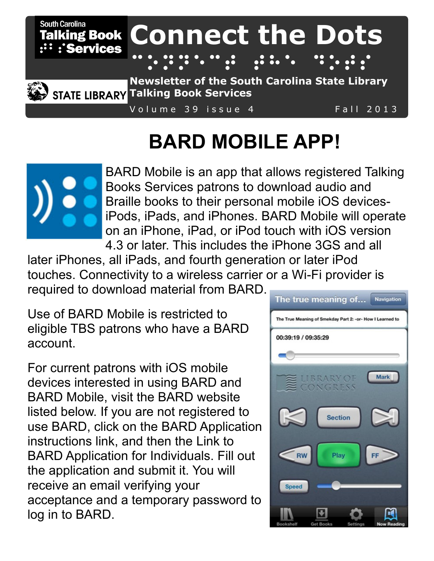

**STATE LIBRARY Talking Book Services** 

Volume 39 issue 4 Fall 2013

# **BARD MOBILE APP!**



[BARD Mobile](https://itunes.apple.com/us/app/bard-mobile/id705229586?mt=8) is an app that allows registered Talking Books Services patrons to download audio and Braille books to their personal mobile iOS devicesiPods, iPads, and iPhones. BARD Mobile will operate on an iPhone, iPad, or iPod touch with iOS version 4.3 or later. This includes the iPhone 3GS and all

later iPhones, all iPads, and fourth generation or later iPod touches. Connectivity to a wireless carrier or a Wi-Fi provider is required to download material from BARD.

Use of BARD Mobile is restricted to eligible TBS patrons who have a BARD account.

For current patrons with iOS mobile devices interested in using BARD and BARD Mobile, [visit the BARD website](https://nlsbard.loc.gov/SC1A) listed below. If you are not registered to use BARD, click on the [BARD Application](https://nlsbard.loc.gov/NLS/ApplicationInstructions.html)  [instructions link,](https://nlsbard.loc.gov/NLS/ApplicationInstructions.html) and then the [Link to](https://nlsbard.loc.gov/cgi-bin/public/nlsbardprod/accountrequest.cgi?libcode=NLS)  [BARD Application for Individuals.](https://nlsbard.loc.gov/cgi-bin/public/nlsbardprod/accountrequest.cgi?libcode=NLS) Fill out the application and submit it. You will receive an email verifying your acceptance and a temporary password to log in to BARD.

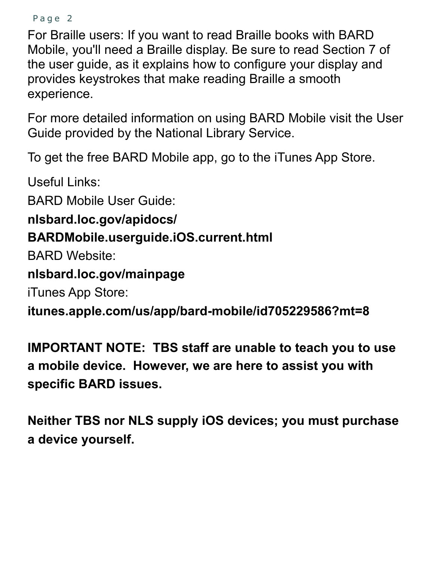```
Page 2
```
For Braille users: If you want to read Braille books with BARD Mobile, you'll need a Braille display. Be sure to read [Section 7 of](https://nlsbard.loc.gov/apidocs/BARDMobile.userguide.iOS.current.html#Section7NowReadingBraille)  [the user guide,](https://nlsbard.loc.gov/apidocs/BARDMobile.userguide.iOS.current.html#Section7NowReadingBraille) as it explains how to configure your display and provides keystrokes that make reading Braille a smooth experience.

For more detailed information on using BARD Mobile [visit the User](https://nlsbard.loc.gov/apidocs/BARDMobile.userguide.iOS.current.html)  [Guide](https://nlsbard.loc.gov/apidocs/BARDMobile.userguide.iOS.current.html) provided by the National Library Service.

To get the free BARD Mobile app, go to the [iTunes App Store.](https://itunes.apple.com/us/app/bard-mobile/id705229586?mt=8)

Useful Links:

BARD Mobile User Guide:

**nlsbard.loc.gov/apidocs/**

## **BARDMobile.userguide.iOS.current.html**

BARD Website:

**nlsbard.loc.gov/mainpage**

iTunes App Store:

**itunes.apple.com/us/app/bard-mobile/id705229586?mt=8**

**IMPORTANT NOTE: TBS staff are unable to teach you to use a mobile device. However, we are here to assist you with specific BARD issues.**

**Neither TBS nor NLS supply iOS devices; you must purchase a device yourself.**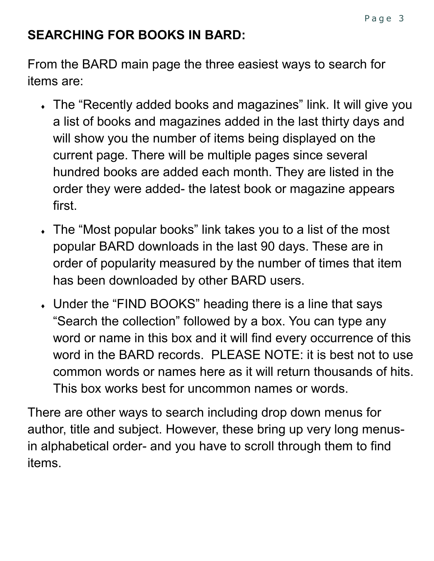# **SEARCHING FOR BOOKS IN BARD:**

From the BARD main page the three easiest ways to search for items are:

- The "Recently added books and magazines" link. It will give you a list of books and magazines added in the last thirty days and will show you the number of items being displayed on the current page. There will be multiple pages since several hundred books are added each month. They are listed in the order they were added- the latest book or magazine appears first.
- The "Most popular books" link takes you to a list of the most popular BARD downloads in the last 90 days. These are in order of popularity measured by the number of times that item has been downloaded by other BARD users.
- Under the "FIND BOOKS" heading there is a line that says "Search the collection" followed by a box. You can type any word or name in this box and it will find every occurrence of this word in the BARD records. PLEASE NOTE: it is best not to use common words or names here as it will return thousands of hits. This box works best for uncommon names or words.

There are other ways to search including drop down menus for author, title and subject. However, these bring up very long menusin alphabetical order- and you have to scroll through them to find items.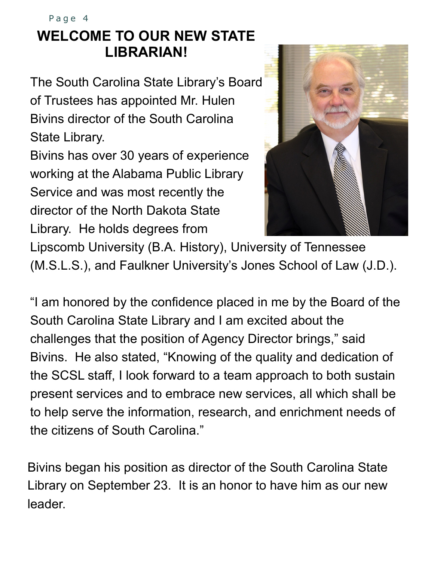# **WELCOME TO OUR NEW STATE LIBRARIAN!** Page 4

The South Carolina State Library's Board of Trustees has appointed Mr. Hulen Bivins director of the South Carolina State Library.

Bivins has over 30 years of experience working at the Alabama Public Library Service and was most recently the director of the North Dakota State Library. He holds degrees from



Lipscomb University (B.A. History), University of Tennessee (M.S.L.S.), and Faulkner University's Jones School of Law (J.D.).

"I am honored by the confidence placed in me by the Board of the South Carolina State Library and I am excited about the challenges that the position of Agency Director brings," said Bivins. He also stated, "Knowing of the quality and dedication of the SCSL staff, I look forward to a team approach to both sustain present services and to embrace new services, all which shall be to help serve the information, research, and enrichment needs of the citizens of South Carolina."

Bivins began his position as director of the South Carolina State Library on September 23. It is an honor to have him as our new leader.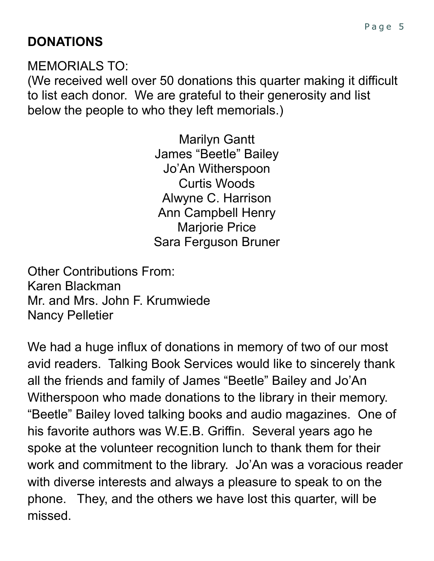MEMORIALS TO:

(We received well over 50 donations this quarter making it difficult to list each donor. We are grateful to their generosity and list below the people to who they left memorials.)

> Marilyn Gantt James "Beetle" Bailey Jo'An Witherspoon Curtis Woods Alwyne C. Harrison Ann Campbell Henry Marjorie Price Sara Ferguson Bruner

Other Contributions From: Karen Blackman Mr. and Mrs. John F. Krumwiede Nancy Pelletier

We had a huge influx of donations in memory of two of our most avid readers. Talking Book Services would like to sincerely thank all the friends and family of James "Beetle" Bailey and Jo'An Witherspoon who made donations to the library in their memory. "Beetle" Bailey loved talking books and audio magazines. One of his favorite authors was W.E.B. Griffin. Several years ago he spoke at the volunteer recognition lunch to thank them for their work and commitment to the library. Jo'An was a voracious reader with diverse interests and always a pleasure to speak to on the phone. They, and the others we have lost this quarter, will be missed.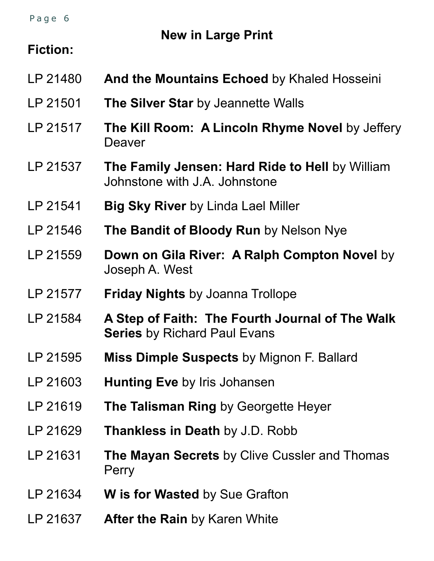Page 6

**New in Large Print**

#### **Fiction:**

- LP 21480 **And the Mountains Echoed** by Khaled Hosseini LP 21501 **The Silver Star** by Jeannette Walls LP 21517 **The Kill Room: A Lincoln Rhyme Novel** by Jeffery Deaver LP 21537 **The Family Jensen: Hard Ride to Hell** by William Johnstone with J.A. Johnstone LP 21541 **Big Sky River** by Linda Lael Miller LP 21546 **The Bandit of Bloody Run** by Nelson Nye LP 21559 **Down on Gila River: A Ralph Compton Novel** by Joseph A. West LP 21577 **Friday Nights** by Joanna Trollope LP 21584 **A Step of Faith: The Fourth Journal of The Walk Series** by Richard Paul Evans LP 21595 **Miss Dimple Suspects** by Mignon F. Ballard LP 21603 **Hunting Eve** by Iris Johansen LP 21619 **The Talisman Ring** by Georgette Heyer LP 21629 **Thankless in Death** by J.D. Robb
- LP 21631 **The Mayan Secrets** by Clive Cussler and Thomas **Perry**
- LP 21634 **W is for Wasted** by Sue Grafton
- LP 21637 **After the Rain** by Karen White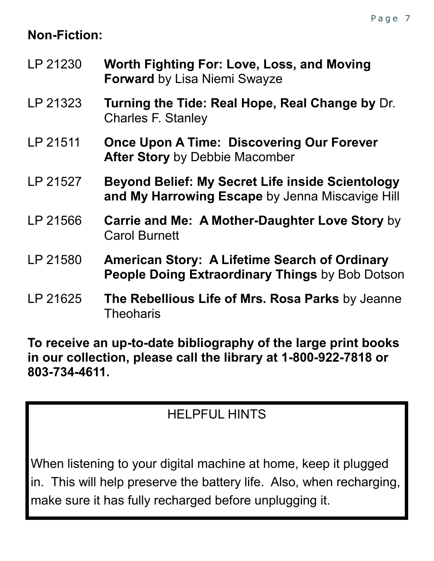# **Non-Fiction:**

- LP 21230 **Worth Fighting For: Love, Loss, and Moving Forward** by Lisa Niemi Swayze
- LP 21323 **Turning the Tide: Real Hope, Real Change by** Dr. Charles F. Stanley
- LP 21511 **Once Upon A Time: Discovering Our Forever After Story** by Debbie Macomber
- LP 21527 **Beyond Belief: My Secret Life inside Scientology and My Harrowing Escape** by Jenna Miscavige Hill
- LP 21566 **Carrie and Me: A Mother-Daughter Love Story** by Carol Burnett
- LP 21580 **American Story: A Lifetime Search of Ordinary People Doing Extraordinary Things** by Bob Dotson
- LP 21625 **The Rebellious Life of Mrs. Rosa Parks** by Jeanne **Theoharis**

**To receive an up-to-date bibliography of the large print books in our collection, please call the library at 1-800-922-7818 or 803-734-4611.**

# HELPFUL HINTS

When listening to your digital machine at home, keep it plugged in. This will help preserve the battery life. Also, when recharging, make sure it has fully recharged before unplugging it.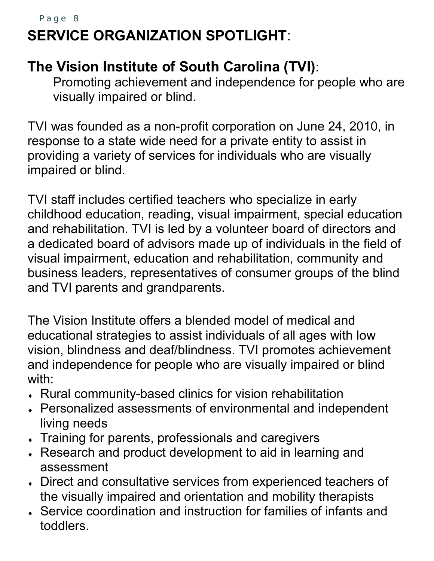# **SERVICE ORGANIZATION SPOTLIGHT**: Page 8

# **The Vision Institute of South Carolina (TVI)**:

Promoting achievement and independence for people who are visually impaired or blind.

TVI was founded as a non-profit corporation on June 24, 2010, in response to a state wide need for a private entity to assist in providing a variety of services for individuals who are visually impaired or blind.

TVI staff includes certified teachers who specialize in early childhood education, reading, visual impairment, special education and rehabilitation. TVI is led by a volunteer board of directors and a dedicated board of advisors made up of individuals in the field of visual impairment, education and rehabilitation, community and business leaders, representatives of consumer groups of the blind and TVI parents and grandparents.

The Vision Institute offers a blended model of medical and educational strategies to assist individuals of all ages with low vision, blindness and deaf/blindness. TVI promotes achievement and independence for people who are visually impaired or blind with:

- Rural community-based clinics for vision rehabilitation
- Personalized assessments of environmental and independent living needs
- Training for parents, professionals and caregivers
- Research and product development to aid in learning and assessment
- Direct and consultative services from experienced teachers of the visually impaired and orientation and mobility therapists
- Service coordination and instruction for families of infants and toddlers.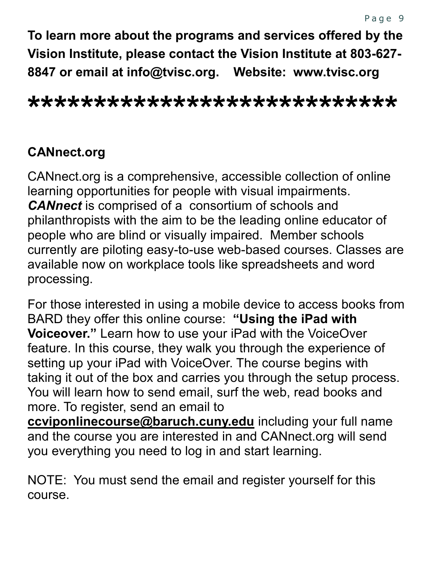**To learn more about the programs and services offered by the Vision Institute, please contact the Vision Institute at 803-627- 8847 or email at info@tvisc.org. Website: www.tvisc.org**

### **\*\*\*\*\*\*\*\*\*\*\*\*\*\*\*\*\*\*\*\*\*\*\*\*\*\*\*\***

#### **CANnect.org**

CANnect.org is a comprehensive, accessible collection of online learning opportunities for people with visual impairments. *CANnect* is comprised of a consortium of schools and philanthropists with the aim to be the leading online educator of people who are blind or visually impaired. Member schools currently are piloting easy-to-use web-based courses. Classes are available now on workplace tools like spreadsheets and word processing.

For those interested in using a mobile device to access books from BARD they offer this online course: **"Using the iPad with Voiceover."** Learn how to use your iPad with the VoiceOver feature. In this course, they walk you through the experience of setting up your iPad with VoiceOver. The course begins with taking it out of the box and carries you through the setup process. You will learn how to send email, surf the web, read books and more. To register, send an email to

**[ccviponlinecourse@baruch.cuny.edu](mailto:ccviponlinecourse@baruch.cuny.edu)** including your full name and the course you are interested in and CANnect.org will send you everything you need to log in and start learning.

NOTE: You must send the email and register yourself for this course.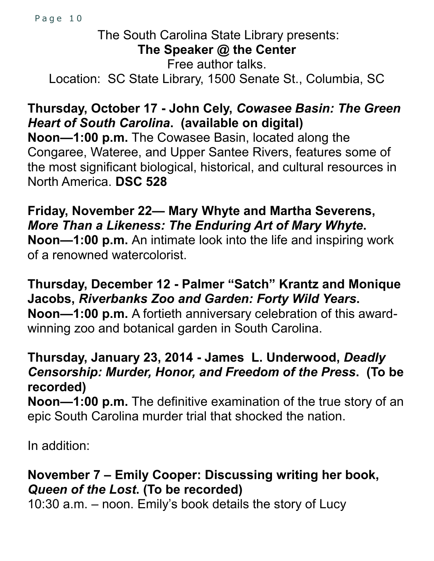Page 10

### The South Carolina State Library presents: **The Speaker @ the Center**  Free author talks. Location: SC State Library, 1500 Senate St., Columbia, SC

#### **Thursday, October 17 - John Cely,** *Cowasee Basin: The Green Heart of South Carolina***. (available on digital)**

**Noon—1:00 p.m.** The Cowasee Basin, located along the Congaree, Wateree, and Upper Santee Rivers, features some of the most significant biological, historical, and cultural resources in North America. **DSC 528**

**Friday, November 22— Mary Whyte and Martha Severens,**  *More Than a Likeness: The Enduring Art of Mary Whyte***. Noon—1:00 p.m.** An intimate look into the life and inspiring work of a renowned watercolorist.

**Thursday, December 12 - Palmer "Satch" Krantz and Monique Jacobs,** *Riverbanks Zoo and Garden: Forty Wild Years***. Noon—1:00 p.m.** A fortieth anniversary celebration of this awardwinning zoo and botanical garden in South Carolina.

#### **Thursday, January 23, 2014 - James L. Underwood,** *Deadly Censorship: Murder, Honor, and Freedom of the Press***. (To be recorded)**

**Noon—1:00 p.m.** The definitive examination of the true story of an epic South Carolina murder trial that shocked the nation.

In addition:

# **November 7 – Emily Cooper: Discussing writing her book,**  *Queen of the Lost***. (To be recorded)**

10:30 a.m. – noon. Emily's book details the story of Lucy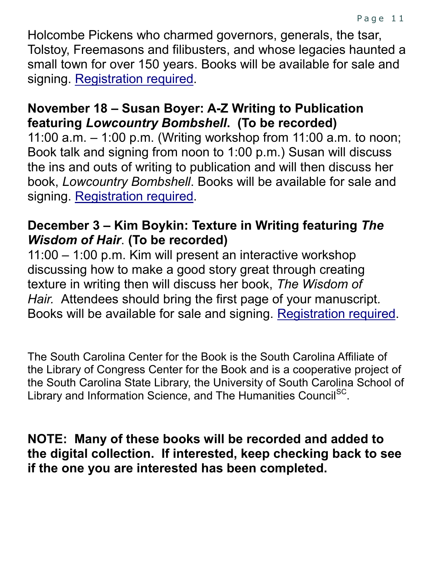Holcombe Pickens who charmed governors, generals, the tsar, Tolstoy, Freemasons and filibusters, and whose legacies haunted a small town for over 150 years. Books will be available for sale and signing. [Registration required.](http://statelibrary.sc.libcal.com/event.php?id=418296)

#### **November 18 – Susan Boyer: A-Z Writing to Publication featuring** *Lowcountry Bombshell***. (To be recorded)**

11:00 a.m. – 1:00 p.m. (Writing workshop from 11:00 a.m. to noon; Book talk and signing from noon to 1:00 p.m.) Susan will discuss the ins and outs of writing to publication and will then discuss her book, *Lowcountry Bombshell*. Books will be available for sale and signing. [Registration required.](http://statelibrary.sc.libcal.com/event.php?id=418475)

#### **December 3 – Kim Boykin: Texture in Writing featuring** *The Wisdom of Hair*. **(To be recorded)**

11:00 – 1:00 p.m. Kim will present an interactive workshop discussing how to make a good story great through creating texture in writing then will discuss her book, *The Wisdom of Hair.* Attendees should bring the first page of your manuscript*.*  Books will be available for sale and signing. [Registration required.](http://statelibrary.sc.libcal.com/event.php?id=418479)

The South Carolina Center for the Book is the South Carolina Affiliate of the Library of Congress Center for the Book and is a cooperative project of the South Carolina State Library, the University of South Carolina School of Library and Information Science, and The Humanities Council<sup>SC</sup>.

**NOTE: Many of these books will be recorded and added to the digital collection. If interested, keep checking back to see if the one you are interested has been completed.**